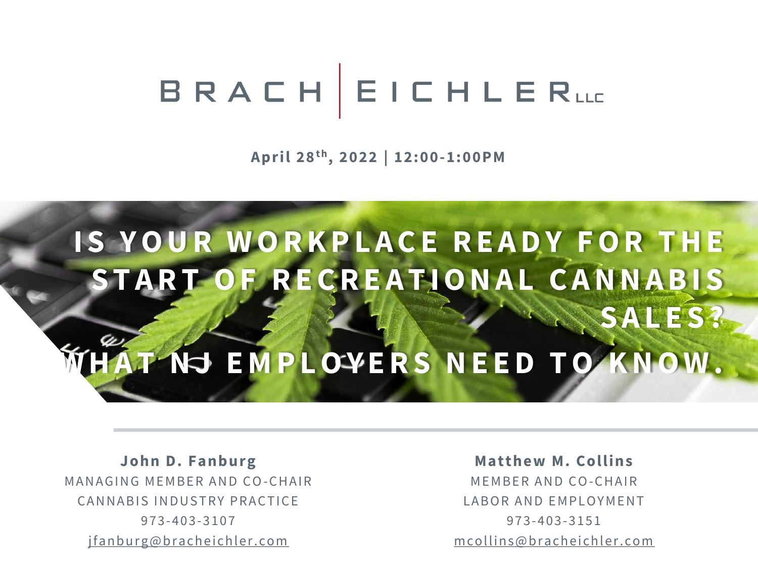# BRACHEICHLERLL

**April 28t h , 2022 | 12:00-1:00PM**

## **IS YOUR WORKPLACE READY FOR THE** S T A R T O F R E C R E A T I O N A L C A N N A B I S **S A L E S ? HAT NJ EMPLOYERS NEED TO KNOW.**

John D. Fanburg MANAGING MEMBER AND CO-CHAIR CANNABIS INDUSTRY PRACTICE 973-403-3107 jfanburg@bracheichler.com

**Matthew M. Collins** MEMBER AND CO-CHAIR LABOR AND EMPLOYMENT 973-403-3151 m collins @ bracheichler.com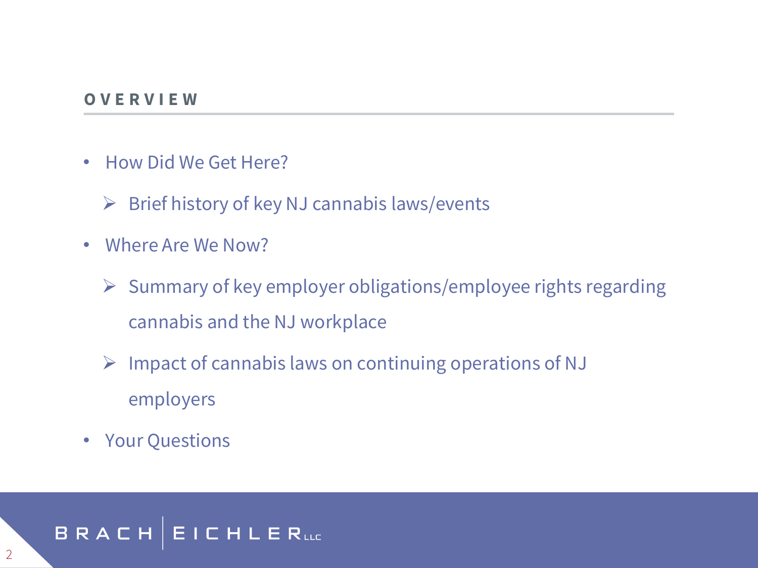#### **O V E R V I E W**

- How Did We Get Here?
	- $\triangleright$  Brief history of key NJ cannabis laws/events
- Where Are We Now?
	- ➢ Summary of key employer obligations/employee rights regarding cannabis and the NJ workplace
	- ➢ Impact of cannabis laws on continuing operations of NJ employers
- Your Questions

#### **BRACH EICHLER**uc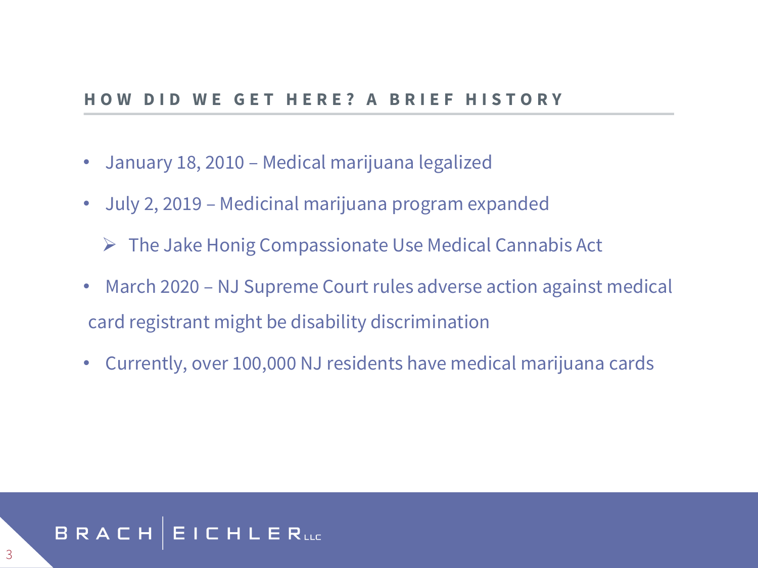#### **GET HERE? A BRIEF HISTORY**

- January 18, 2010 Medical marijuana legalized
- July 2, 2019 Medicinal marijuana program expanded

➢ The Jake Honig Compassionate Use Medical Cannabis Act

- March 2020 NJ Supreme Court rules adverse action against medical card registrant might be disability discrimination
- Currently, over 100,000 NJ residents have medical marijuana cards

#### BRACH **EICHLER**uc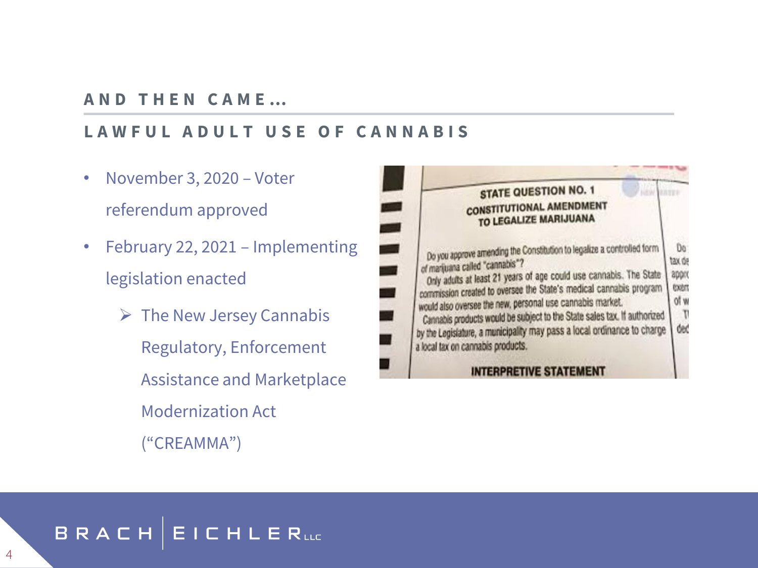#### **A N D T H E N C A M E …**

#### **L A W F U L A D U L T U S E O F C A N N A B I S**

- November 3, 2020 Voter referendum approved
- February 22, 2021 Implementing legislation enacted
	- $\triangleright$  The New Jersey Cannabis Regulatory, Enforcement Assistance and Marketplace Modernization Act ("CREAMMA")

| <b>STATE QUESTION NO. 1</b>                                                                                                                                                                                                                                                                                                                                                                                                                                                                                    |                                               |
|----------------------------------------------------------------------------------------------------------------------------------------------------------------------------------------------------------------------------------------------------------------------------------------------------------------------------------------------------------------------------------------------------------------------------------------------------------------------------------------------------------------|-----------------------------------------------|
| <b>CONSTITUTIONAL AMENDMENT</b><br>TO LEGALIZE MARIJUANA                                                                                                                                                                                                                                                                                                                                                                                                                                                       |                                               |
| Do you approve amending the Constitution to legalize a controlled form<br>of marijuana called "cannabis"?<br>Only adults at least 21 years of age could use cannabis. The State<br>commission created to oversee the State's medical cannabis program<br>would also oversee the new, personal use cannabis market.<br>Cannabis products would be subject to the State sales tax. If authorized<br>by the Legislature, a municipality may pass a local ordinance to charge<br>a local tax on cannabis products. | Do:<br>tax de<br>appro<br>toon<br>of w<br>ded |
| <b>INTERPRETIVE STATEMENT</b>                                                                                                                                                                                                                                                                                                                                                                                                                                                                                  |                                               |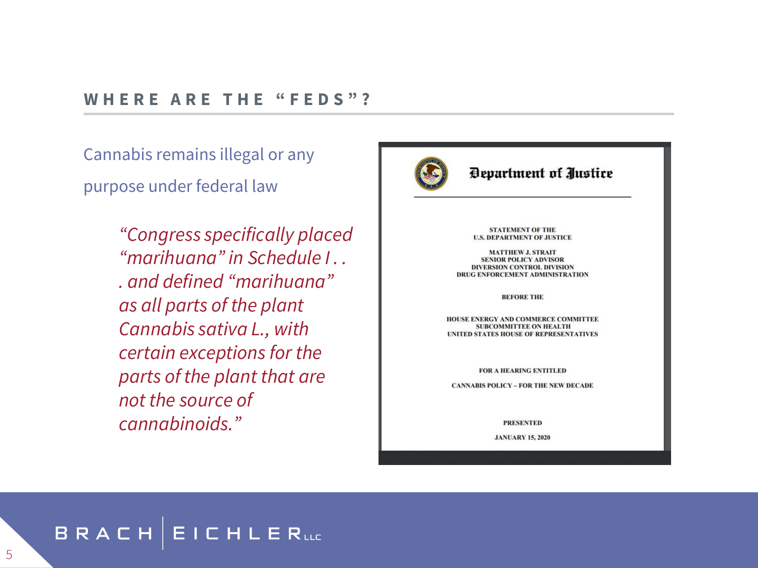#### WHERE ARE THE "FEDS"?

Cannabis remains illegal or any purpose under federal law

> *"Congress specifically placed "marihuana" in Schedule I . . . and defined "marihuana" as all parts of the plant Cannabis sativa L., with certain exceptions for the parts of the plant that are not the source of cannabinoids."*



#### Department of Justice

**STATEMENT OF THE U.S. DEPARTMENT OF JUSTICE** 

**MATTHEW J. STRAIT SENIOR POLICY ADVISOR DIVERSION CONTROL DIVISION DRUG ENFORCEMENT ADMINISTRATION** 

**BEFORE THE** 

HOUSE ENERGY AND COMMERCE COMMITTEE **SUBCOMMITTEE ON HEALTH** UNITED STATES HOUSE OF REPRESENTATIVES

**FOR A HEARING ENTITLED** 

**CANNABIS POLICY - FOR THE NEW DECADE** 

**PRESENTED** 

**JANUARY 15, 2020** 

#### BRACH  $EICHLERuc$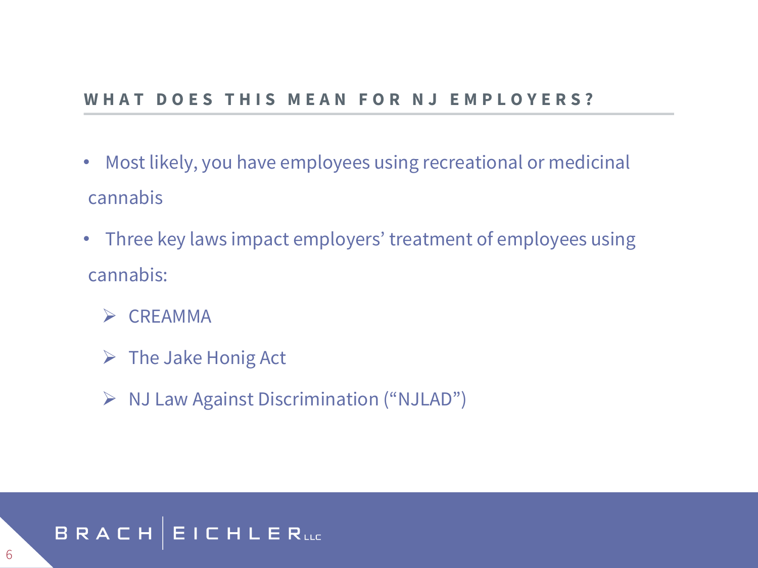#### THIS MEAN FOR NJ EMPLOYERS?

- Most likely, you have employees using recreational or medicinal cannabis
- Three key laws impact employers' treatment of employees using cannabis:
	- ➢ CREAMMA
	- $\triangleright$  The Jake Honig Act
	- ➢ NJ Law Against Discrimination ("NJLAD")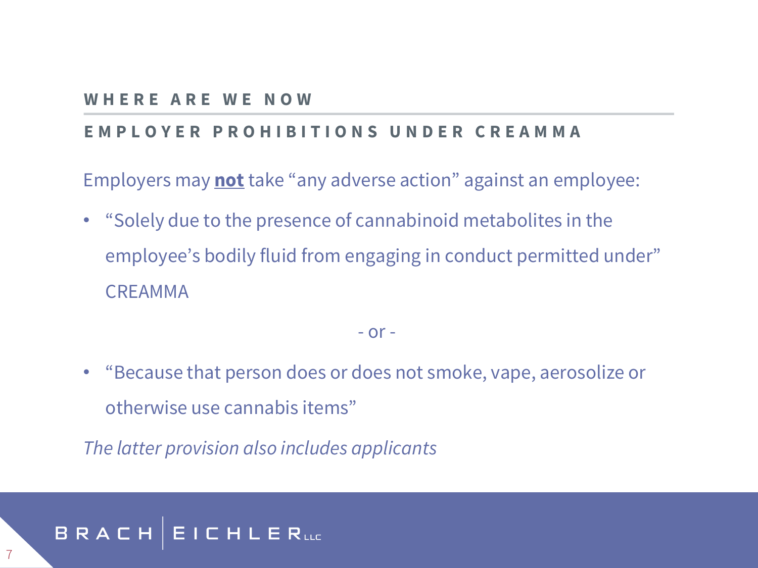#### **W H E R E A R E W E N O W**

#### **E M P L O Y E R P R O H I B I T I O N S U N D E R C R E A M M A**

Employers may **not** take "any adverse action" against an employee:

• "Solely due to the presence of cannabinoid metabolites in the employee's bodily fluid from engaging in conduct permitted under" CREAMMA

#### $-$  or  $-$

• "Because that person does or does not smoke, vape, aerosolize or otherwise use cannabis items"

*The latter provision also includes applicants*

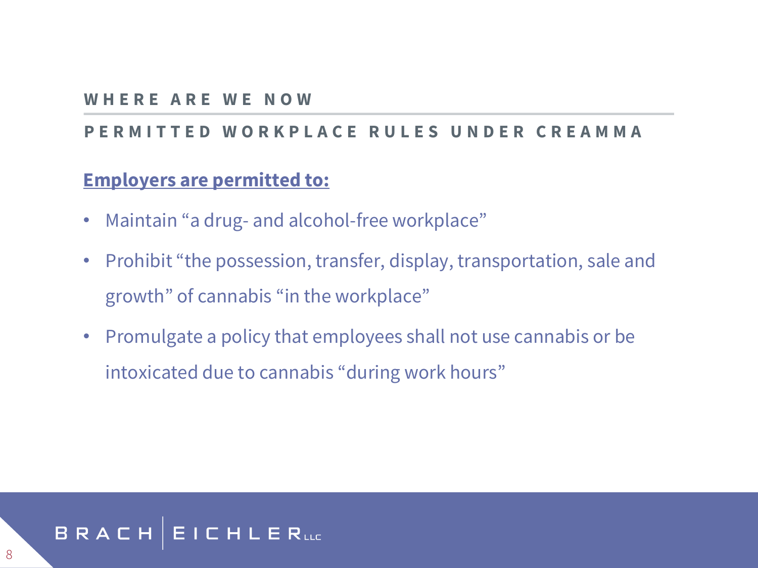#### **W H E R E A R E W E N O W**

#### **P E R M I T T E D W O R K P L A C E R U L E S U N D E R C R E A M M A**

#### **Employers are permitted to:**

- Maintain "a drug- and alcohol-free workplace"
- Prohibit "the possession, transfer, display, transportation, sale and growth" of cannabis "in the workplace"
- Promulgate a policy that employees shall not use cannabis or be intoxicated due to cannabis "during work hours"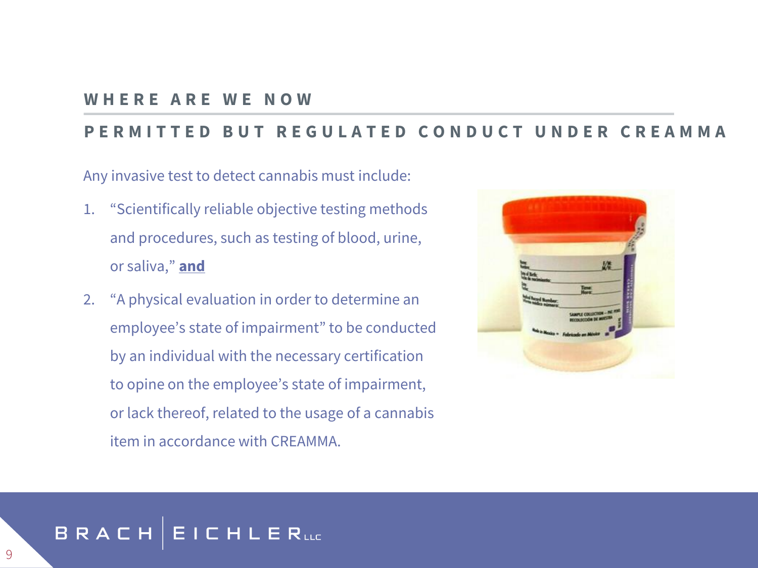#### **W H E R E A R E W E N O W**

#### **PERMITTED BUT REGULATED CONDUCT UNDER CREA**

Any invasive test to detect cannabis must include:

- 1. "Scientifically reliable objective testing methods and procedures, such as testing of blood, urine, or saliva," **and**
- 2. "A physical evaluation in order to determine an employee's state of impairment" to be conducted by an individual with the necessary certification to opine on the employee's state of impairment, or lack thereof, related to the usage of a cannabis item in accordance with CREAMMA.



#### **EICHLER**uc BRACH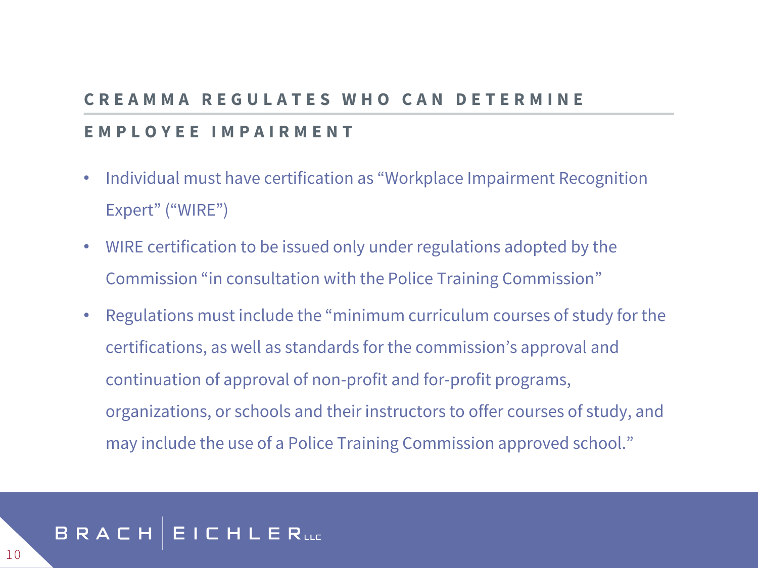### **CREAMMA REGULATES WHO CAN DETERM**

#### **E M P L O Y E E I M P A I R M E N T**

- Individual must have certification as "Workplace Impairment Recognition Expert" ("WIRE")
- WIRE certification to be issued only under regulations adopted by the Commission "in consultation with the Police Training Commission"
- Regulations must include the "minimum curriculum courses of study for the certifications, as well as standards for the commission's approval and continuation of approval of non-profit and for-profit programs, organizations, or schools and their instructors to offer courses of study, and may include the use of a Police Training Commission approved school."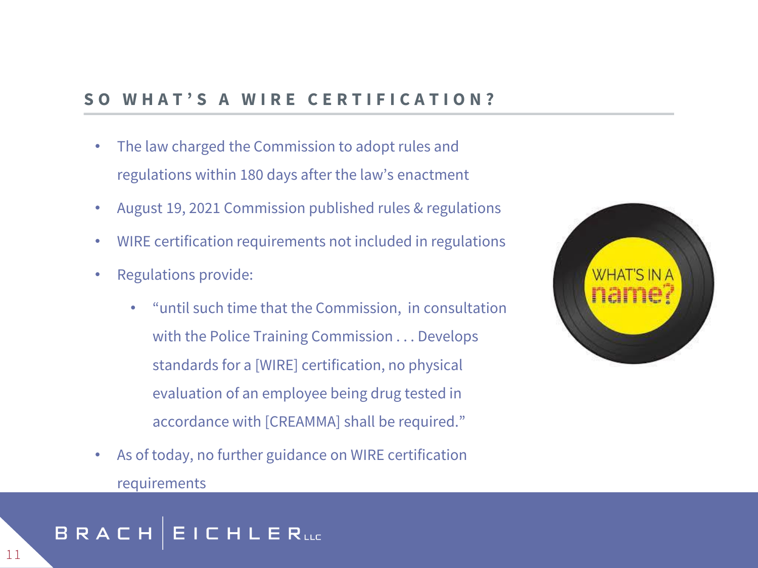#### SO WHAT'S A WIRE CERTIFICATION?

- The law charged the Commission to adopt rules and regulations within 180 days after the law's enactment
- August 19, 2021 Commission published rules & regulations
- WIRE certification requirements not included in regulations
- Regulations provide:
	- "until such time that the Commission, in consultation with the Police Training Commission . . . Develops standards for a [WIRE] certification, no physical evaluation of an employee being drug tested in accordance with [CREAMMA] shall be required."
- As of today, no further guidance on WIRE certification requirements



#### **CHLERLLE** BRACH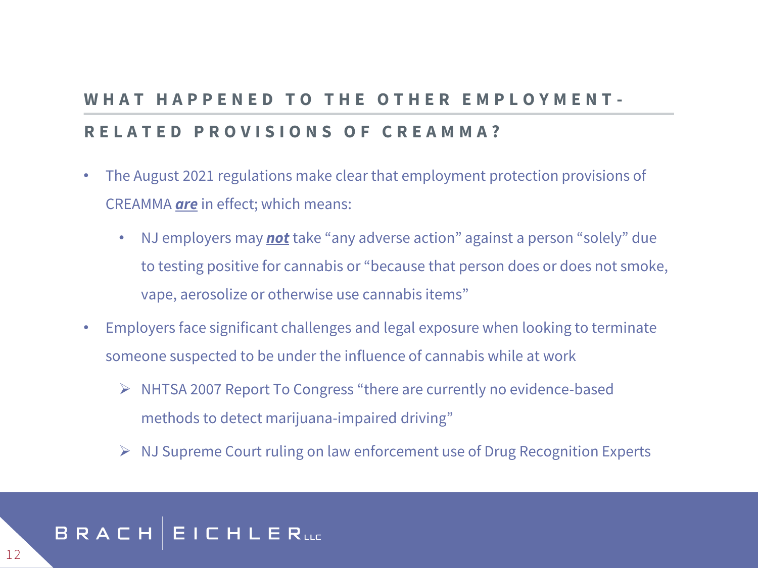### WHAT HAPPENED TO THE OTHER EMPLOYMENT-**R E L A T E D P R O V I S I O N S O F C R E A M M A ?**

- The August 2021 regulations make clear that employment protection provisions of CREAMMA *are* in effect; which means:
	- NJ employers may *not* take "any adverse action" against a person "solely" due to testing positive for cannabis or "because that person does or does not smoke, vape, aerosolize or otherwise use cannabis items"
- Employers face significant challenges and legal exposure when looking to terminate someone suspected to be under the influence of cannabis while at work
	- ➢ NHTSA 2007 Report To Congress "there are currently no evidence-based methods to detect marijuana-impaired driving"
	- ➢ NJ Supreme Court ruling on law enforcement use of Drug Recognition Experts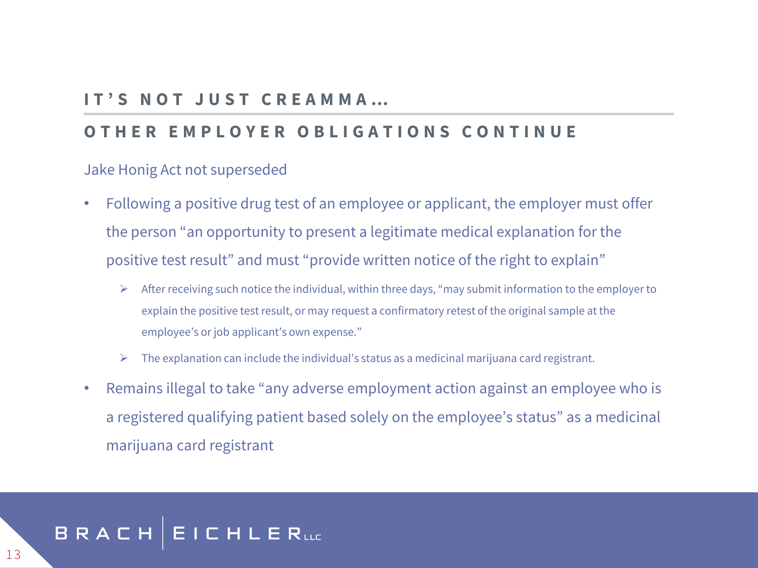#### **I T ' S N O T J U S T C R E A M M A …**

#### **O T H E R E M P L O Y E R O B L I G A T I O N S C O N T I N U E**

#### Jake Honig Act not superseded

- Following a positive drug test of an employee or applicant, the employer must offer the person "an opportunity to present a legitimate medical explanation for the positive test result" and must "provide written notice of the right to explain"
	- ➢ After receiving such notice the individual, within three days, "may submit information to the employer to explain the positive test result, or may request a confirmatory retest of the original sample at the employee's or job applicant's own expense."
	- ➢ The explanation can include the individual's status as a medicinal marijuana card registrant.
- Remains illegal to take "any adverse employment action against an employee who is a registered qualifying patient based solely on the employee's status" as a medicinal marijuana card registrant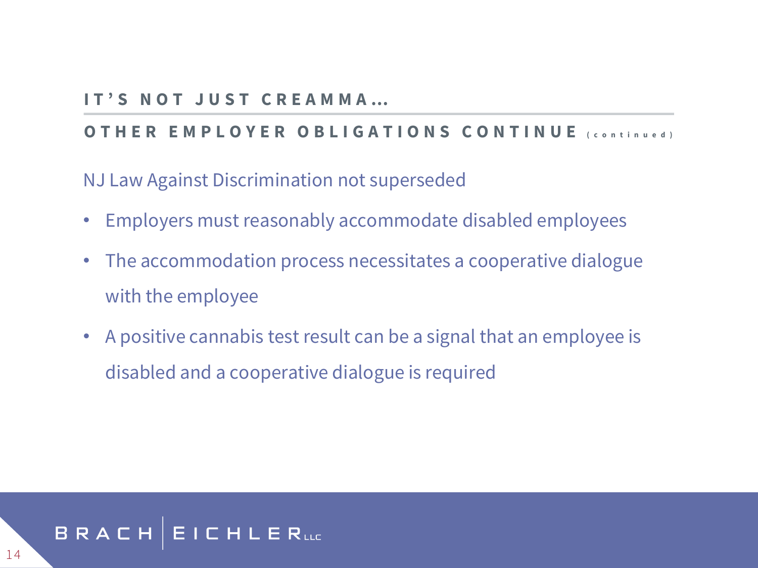#### **I T ' S N O T J U S T C R E A M M A …**

#### **OTHER EMPLOYER OBLIGATIONS CONTINUE** (continued)

NJ Law Against Discrimination not superseded

- Employers must reasonably accommodate disabled employees
- The accommodation process necessitates a cooperative dialogue with the employee
- A positive cannabis test result can be a signal that an employee is disabled and a cooperative dialogue is required

#### BRACH | **EICHLER**uc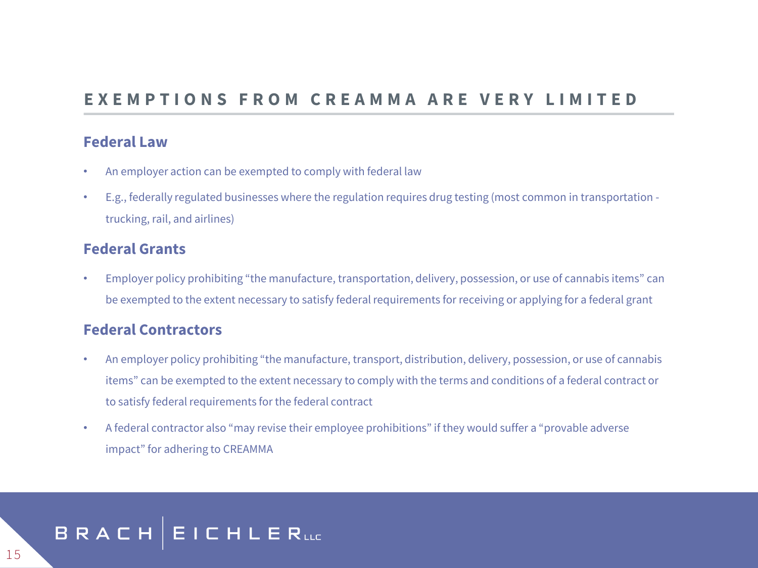#### E X E M P T I O N S F R O M C R E A M M A A R E V E R Y L I M I T E D

#### **Federal Law**

- An employer action can be exempted to comply with federal law
- E.g., federally regulated businesses where the regulation requires drug testing (most common in transportation trucking, rail, and airlines)

#### **Federal Grants**

• Employer policy prohibiting "the manufacture, transportation, delivery, possession, or use of cannabis items" can be exempted to the extent necessary to satisfy federal requirements for receiving or applying for a federal grant

#### **Federal Contractors**

- An employer policy prohibiting "the manufacture, transport, distribution, delivery, possession, or use of cannabis items" can be exempted to the extent necessary to comply with the terms and conditions of a federal contract or to satisfy federal requirements for the federal contract
- A federal contractor also "may revise their employee prohibitions" if they would suffer a "provable adverse impact" for adhering to CREAMMA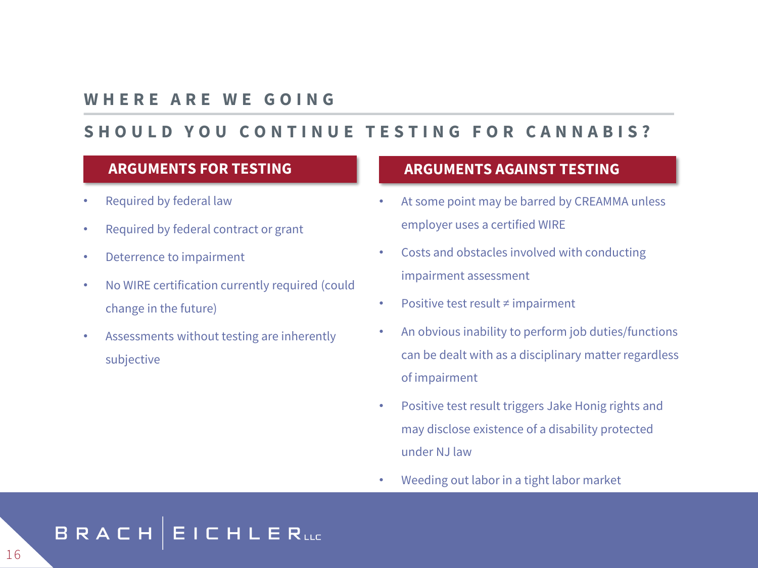#### **W H E R E A R E W E G O I N G**

#### SHOULD YOU CONTINUE TESTING FOR CANNABIS?

#### **ARGUMENTS FOR TESTING**

- Required by federal law
- Required by federal contract or grant
- Deterrence to impairment
- No WIRE certification currently required (could change in the future)
- Assessments without testing are inherently subjective

#### **ARGUMENTS AGAINST TESTING**

- At some point may be barred by CREAMMA unless employer uses a certified WIRE
- Costs and obstacles involved with conducting impairment assessment
- Positive test result ≠ impairment
- An obvious inability to perform job duties/functions can be dealt with as a disciplinary matter regardless of impairment
- Positive test result triggers Jake Honig rights and may disclose existence of a disability protected under NJ law
- Weeding out labor in a tight labor market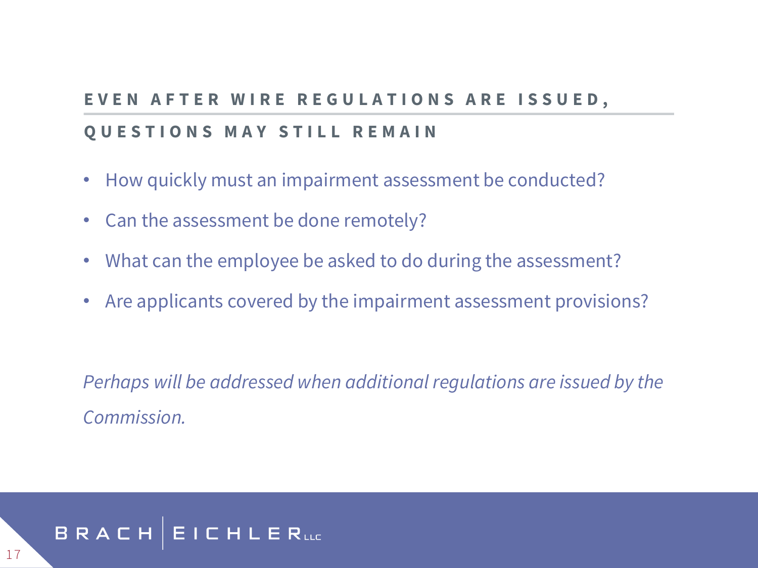## **E V E N A F T E R W I R E R E G U L A T I O N S A R E I S S U E D ,**

#### **QUESTIONS MAY STILL REMAIN**

- How quickly must an impairment assessment be conducted?
- Can the assessment be done remotely?
- What can the employee be asked to do during the assessment?
- Are applicants covered by the impairment assessment provisions?

*Perhaps will be addressed when additional regulations are issued by the Commission.*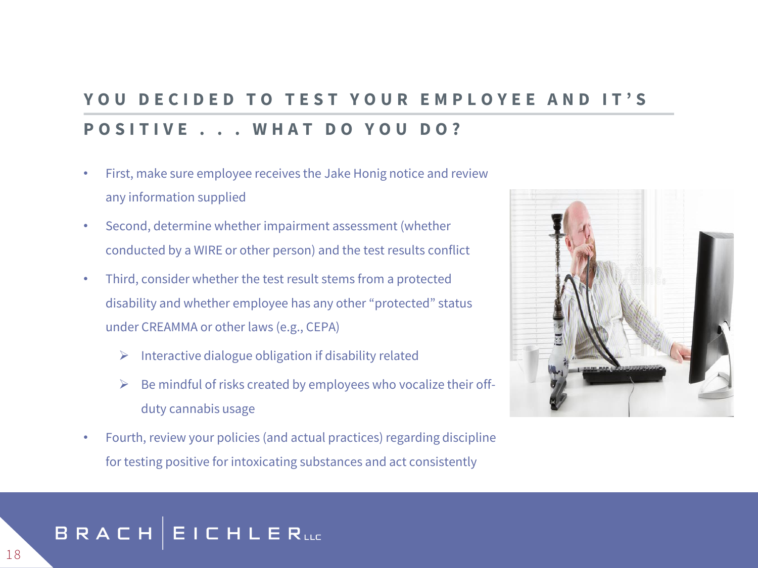### YOU DECIDED TO TEST YOUR EMPLOYEE AND IT'S **POSITIVE . . . WHAT DO YOU DO?**

- First, make sure employee receives the Jake Honig notice and review any information supplied
- Second, determine whether impairment assessment (whether conducted by a WIRE or other person) and the test results conflict
- Third, consider whether the test result stems from a protected disability and whether employee has any other "protected" status under CREAMMA or other laws (e.g., CEPA)
	- $\triangleright$  Interactive dialogue obligation if disability related
	- Be mindful of risks created by employees who vocalize their offduty cannabis usage
- Fourth, review your policies (and actual practices) regarding discipline for testing positive for intoxicating substances and act consistently

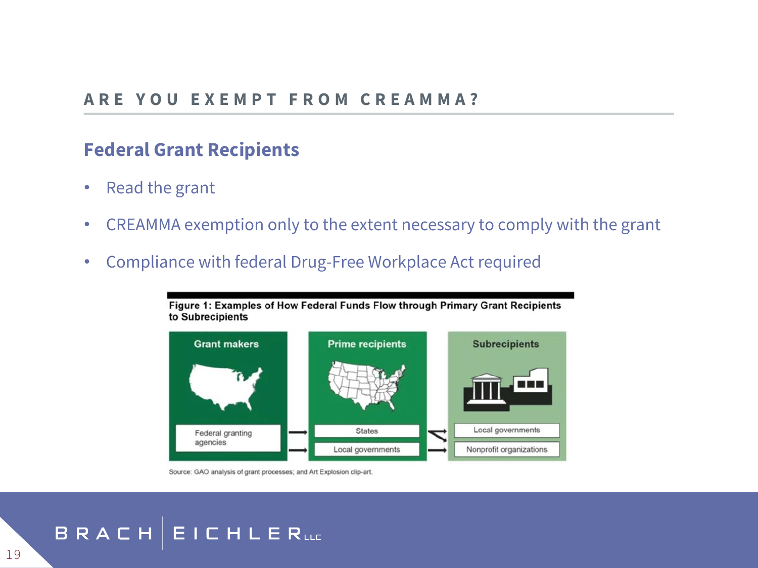### **Federal Grant Recipients**

- Read the grant
- CREAMMA exemption only to the extent necessary to comply with the grant
- Compliance with federal Drug-Free Workplace Act required





Source: GAO analysis of grant processes; and Art Explosion clip-art.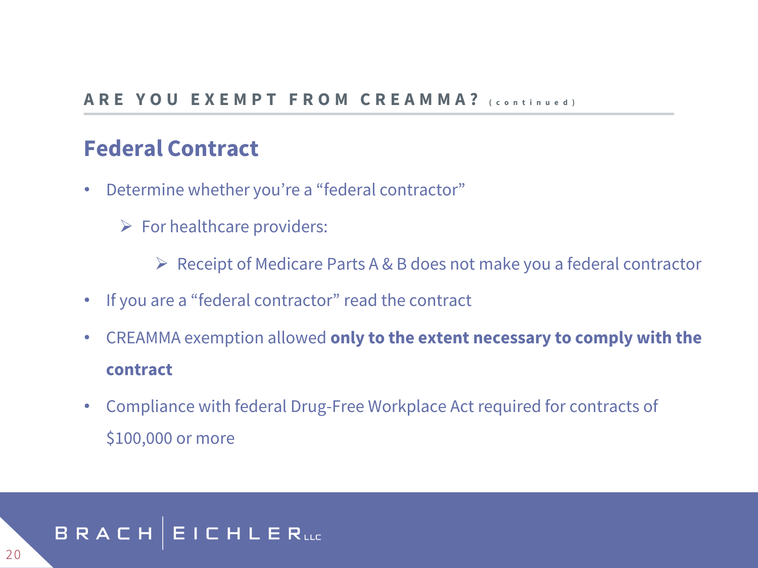### **Federal Contract**

- Determine whether you're a "federal contractor"
	- $\triangleright$  For healthcare providers:

➢ Receipt of Medicare Parts A & B does not make you a federal contractor

- If you are a "federal contractor" read the contract
- CREAMMA exemption allowed **only to the extent necessary to comply with the contract**
- Compliance with federal Drug-Free Workplace Act required for contracts of \$100,000 or more

#### BRACH | **EICHLER**uc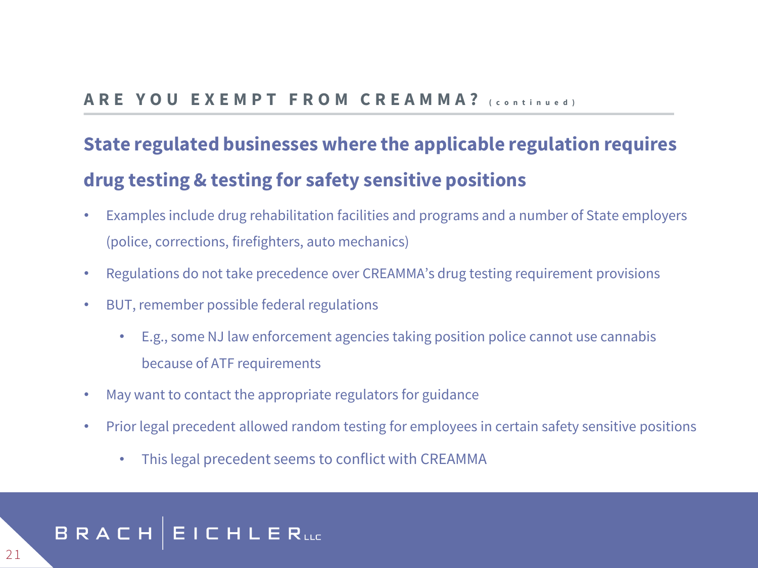#### **A R E Y O U E X E M P T F R O M C R E A M M A ? ( c o n t i n u e d )**

### **State regulated businesses where the applicable regulation requires drug testing & testing for safety sensitive positions**

- Examples include drug rehabilitation facilities and programs and a number of State employers (police, corrections, firefighters, auto mechanics)
- Regulations do not take precedence over CREAMMA's drug testing requirement provisions
- BUT, remember possible federal regulations
	- E.g., some NJ law enforcement agencies taking position police cannot use cannabis because of ATF requirements
- May want to contact the appropriate regulators for guidance
- Prior legal precedent allowed random testing for employees in certain safety sensitive positions
	- This legal precedent seems to conflict with CREAMMA

#### **EICHLERLLE** BRACH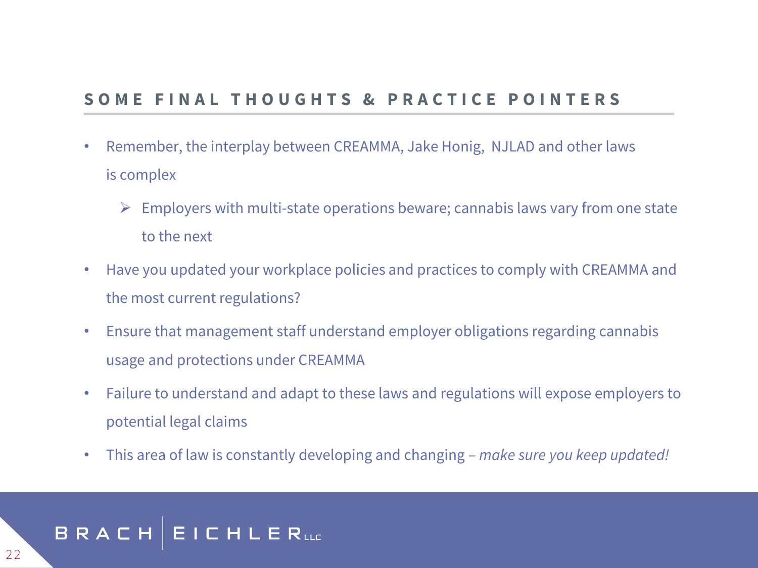#### SOME FINAL THOUGHTS & PRACTICE POINTERS

- Remember, the interplay between CREAMMA, Jake Honig, NJLAD and other laws is complex
	- $\triangleright$  Employers with multi-state operations beware; cannabis laws vary from one state to the next
- Have you updated your workplace policies and practices to comply with CREAMMA and the most current regulations?
- Ensure that management staff understand employer obligations regarding cannabis usage and protections under CREAMMA
- Failure to understand and adapt to these laws and regulations will expose employers to potential legal claims
- This area of law is constantly developing and changing *make sure you keep updated!*

#### **EICHLER**uc BRACH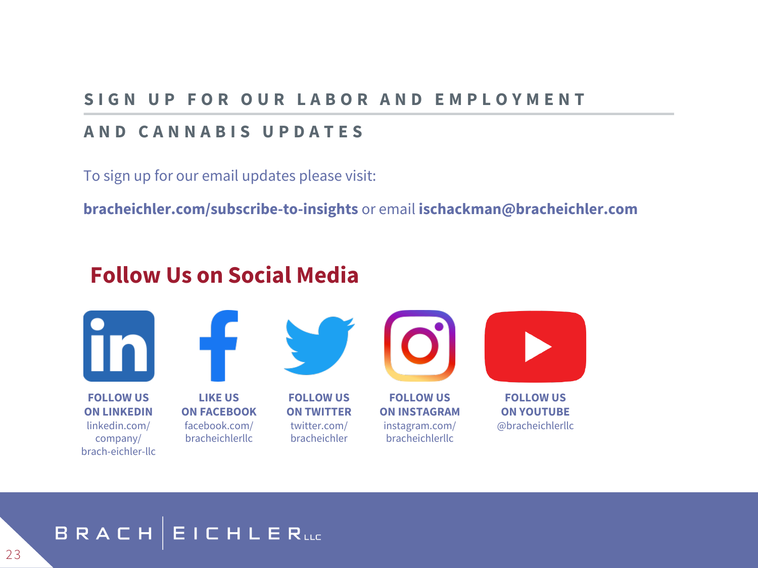#### **S I G N U P F O R O U R L A B O R A N D E M P L O Y M E N T**

#### **A N D C A N N A B I S U P D A T E S**

To sign up for our email updates please visit:

**bracheichler.com/subscribe-to-insights** or email **ischackman@bracheichler.com**

### **Follow Us on Social Media**



#### **EICHLERLLE** BRACH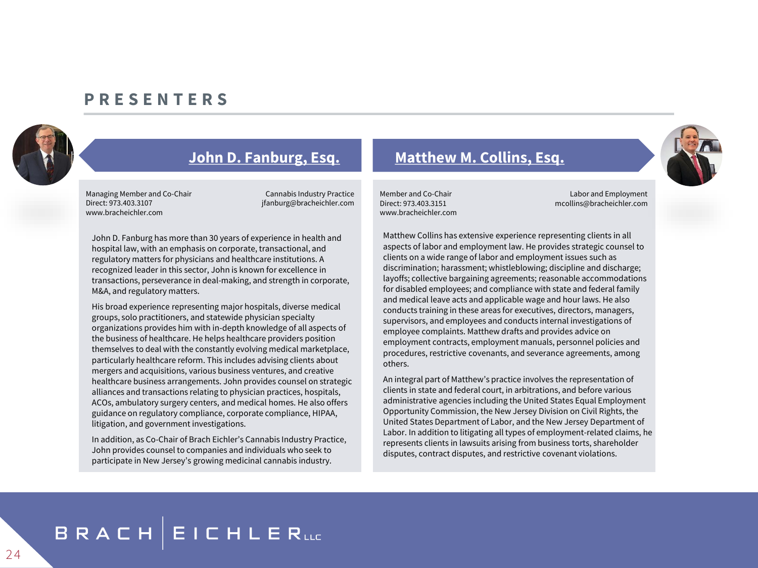#### **P R E S E N T E R S**



Managing Member and Co-Chair Cannabis Industry Practice Direct: 973.403.3107 jfanburg@bracheichler.com www.bracheichler.com

John D. Fanburg has more than 30 years of experience in health and hospital law, with an emphasis on corporate, transactional, and regulatory matters for physicians and healthcare institutions. A recognized leader in this sector, John is known for excellence in transactions, perseverance in deal-making, and strength in corporate, M&A, and regulatory matters.

His broad experience representing major hospitals, diverse medical groups, solo practitioners, and statewide physician specialty organizations provides him with in-depth knowledge of all aspects of the business of healthcare. He helps healthcare providers position themselves to deal with the constantly evolving medical marketplace, particularly healthcare reform. This includes advising clients about mergers and acquisitions, various business ventures, and creative healthcare business arrangements. John provides counsel on strategic alliances and transactions relating to physician practices, hospitals, ACOs, ambulatory surgery centers, and medical homes. He also offers guidance on regulatory compliance, corporate compliance, HIPAA, litigation, and government investigations.

In addition, as Co-Chair of Brach Eichler's Cannabis Industry Practice, John provides counsel to companies and individuals who seek to participate in New Jersey's growing medicinal cannabis industry.

#### **[John D. Fanburg, Esq.](https://www.bracheichler.com/professionals/john-d-fanburg/) [Matthew M. Collins, Esq.](https://www.bracheichler.com/professionals/matthew-m-collins/)**

www.bracheichler.com

Member and Co-Chair Labor and Employment Direct: 973.403.3151 mcollins@bracheichler.com

Matthew Collins has extensive experience representing clients in all aspects of labor and employment law. He provides strategic counsel to clients on a wide range of labor and employment issues such as discrimination; harassment; whistleblowing; discipline and discharge; layoffs; collective bargaining agreements; reasonable accommodations for disabled employees; and compliance with state and federal family and medical leave acts and applicable wage and hour laws. He also conducts training in these areas for executives, directors, managers, supervisors, and employees and conducts internal investigations of employee complaints. Matthew drafts and provides advice on employment contracts, employment manuals, personnel policies and procedures, restrictive covenants, and severance agreements, among others.

An integral part of Matthew's practice involves the representation of clients in state and federal court, in arbitrations, and before various administrative agencies including the United States Equal Employment Opportunity Commission, the New Jersey Division on Civil Rights, the United States Department of Labor, and the New Jersey Department of Labor. In addition to litigating all types of employment-related claims, he represents clients in lawsuits arising from business torts, shareholder disputes, contract disputes, and restrictive covenant violations.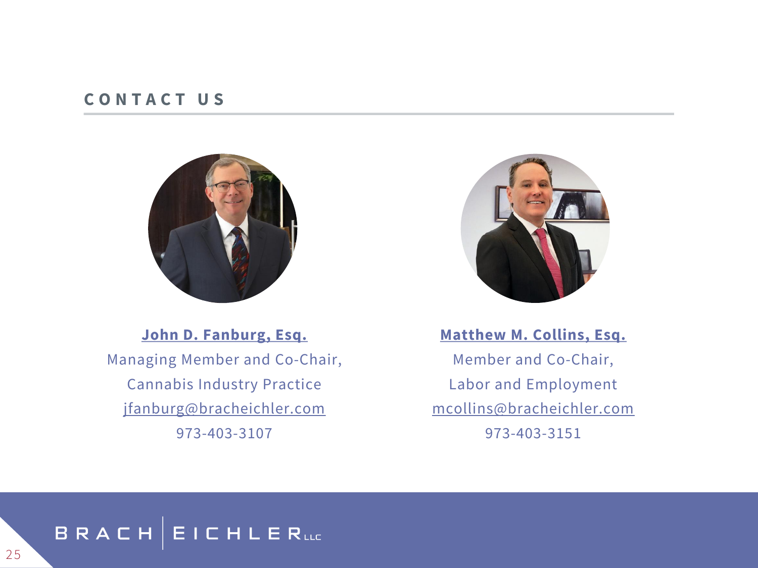#### **C O N T A C T U S**



**[John D. Fanburg, Esq.](https://www.bracheichler.com/professionals/john-d-fanburg/)** Managing Member and Co-Chair, Cannabis Industry Practice [jfanburg@bracheichler.com](mailto:jfanburg@bracheichler.com)  973-403-3107



**[Matthew M. Collins, Esq.](https://www.bracheichler.com/professionals/matthew-m-collins/)** Member and Co-Chair, Labor and Employment [mcollins@bracheichler.com](mailto:mcollins@bracheichler.com) 973-403-3151